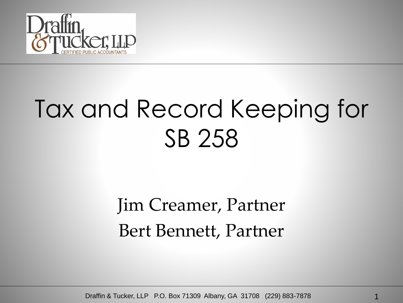

#### Tax and Record Keeping for SB 258

#### Jim Creamer, Partner Bert Bennett, Partner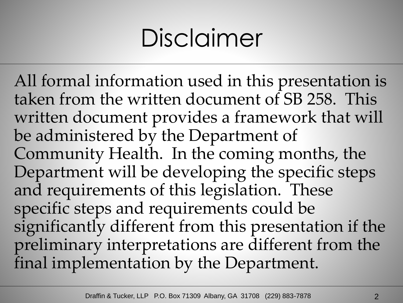## Disclaimer

All formal information used in this presentation is taken from the written document of SB 258. This written document provides a framework that will be administered by the Department of Community Health. In the coming months, the Department will be developing the specific steps and requirements of this legislation. These specific steps and requirements could be significantly different from this presentation if the preliminary interpretations are different from the final implementation by the Department.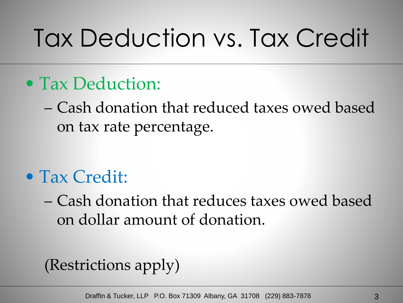# Tax Deduction vs. Tax Credit

#### • Tax Deduction:

– Cash donation that reduced taxes owed based on tax rate percentage.

#### • Tax Credit:

– Cash donation that reduces taxes owed based on dollar amount of donation.

#### (Restrictions apply)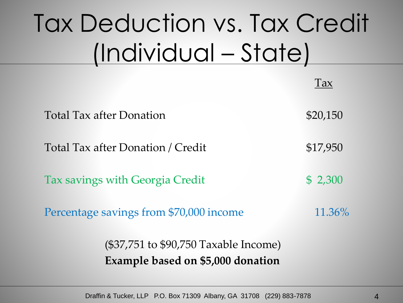# Tax Deduction vs. Tax Credit (Individual – State)

|                                         | Tax       |
|-----------------------------------------|-----------|
| <b>Total Tax after Donation</b>         | \$20,150  |
| Total Tax after Donation / Credit       | \$17,950  |
| Tax savings with Georgia Credit         | \$2,300   |
| Percentage savings from \$70,000 income | $11.36\%$ |
| (\$37,751 to \$90,750 Taxable Income)   |           |

**Example based on \$5,000 donation**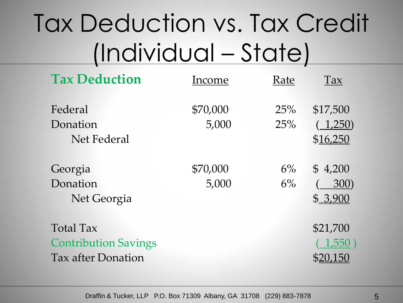## Tax Deduction vs. Tax Credit (Individual – State)

| <b>Tax Deduction</b>                                                         | Income            | Rate           | Tax                             |
|------------------------------------------------------------------------------|-------------------|----------------|---------------------------------|
| Federal<br>Donation<br>Net Federal                                           | \$70,000<br>5,000 | 25%<br>25%     | \$17,500<br>(1,250)<br>\$16,250 |
| Georgia<br>Donation<br>Net Georgia                                           | \$70,000<br>5,000 | $6\%$<br>$6\%$ | \$4,200<br>300)<br>\$3,900      |
| <b>Total Tax</b><br><b>Contribution Savings</b><br><b>Tax after Donation</b> |                   |                | \$21,700<br>(1,550)             |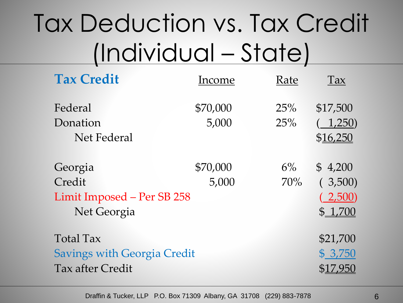## Tax Deduction vs. Tax Credit (Individual – State)

| <b>Tax Credit</b>                                              | Income            | Rate         | Tax                                      |
|----------------------------------------------------------------|-------------------|--------------|------------------------------------------|
| Federal<br>Donation<br>Net Federal                             | \$70,000<br>5,000 | 25%<br>25%   | \$17,500<br>1,250)<br>\$16,250           |
| Georgia<br>Credit<br>Limit Imposed - Per SB 258<br>Net Georgia | \$70,000<br>5,000 | $6\%$<br>70% | \$4,200<br>(3,500)<br>(2,500)<br>\$1,700 |
| Total Tax                                                      |                   |              | \$21,700                                 |
| <b>Savings with Georgia Credit</b>                             |                   |              | \$3,750                                  |
| Tax after Credit                                               |                   |              | \$17,950                                 |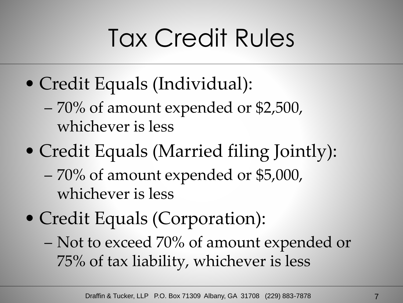- Credit Equals (Individual):
	- 70% of amount expended or \$2,500, whichever is less
- Credit Equals (Married filing Jointly):
	- 70% of amount expended or \$5,000, whichever is less
- Credit Equals (Corporation):
	- Not to exceed 70% of amount expended or 75% of tax liability, whichever is less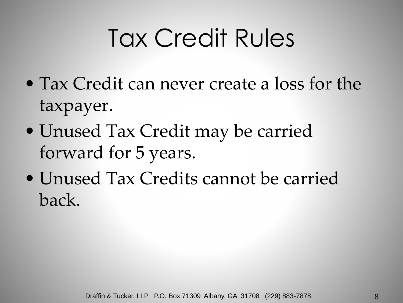- Tax Credit can never create a loss for the taxpayer.
- Unused Tax Credit may be carried forward for 5 years.
- Unused Tax Credits cannot be carried back.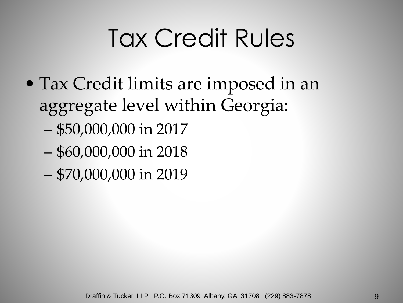- Tax Credit limits are imposed in an aggregate level within Georgia:
	- \$50,000,000 in 2017
	- \$60,000,000 in 2018
	- \$70,000,000 in 2019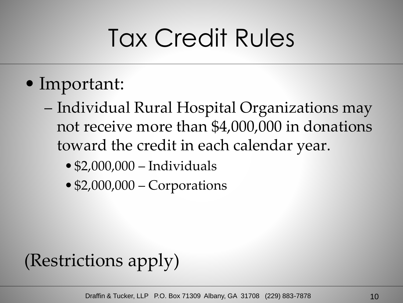- Important:
	- Individual Rural Hospital Organizations may not receive more than \$4,000,000 in donations toward the credit in each calendar year.
		- \$2,000,000 Individuals
		- •\$2,000,000 Corporations

#### (Restrictions apply)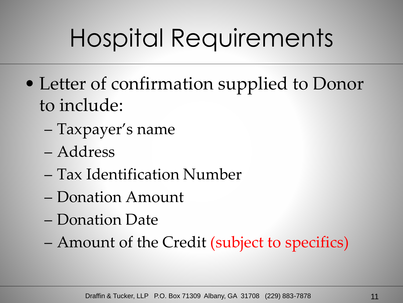- Letter of confirmation supplied to Donor to include:
	- Taxpayer's name
	- Address
	- Tax Identification Number
	- Donation Amount
	- Donation Date
	- Amount of the Credit (subject to specifics)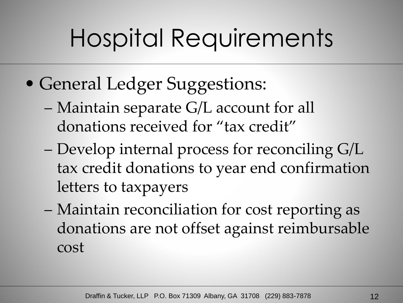- General Ledger Suggestions:
	- Maintain separate G/L account for all donations received for "tax credit"
	- Develop internal process for reconciling G/L tax credit donations to year end confirmation letters to taxpayers
	- Maintain reconciliation for cost reporting as donations are not offset against reimbursable cost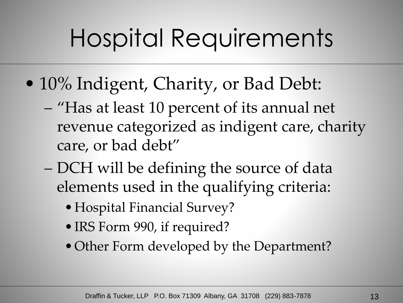- 10% Indigent, Charity, or Bad Debt:
	- "Has at least 10 percent of its annual net revenue categorized as indigent care, charity care, or bad debt"
	- DCH will be defining the source of data elements used in the qualifying criteria:
		- Hospital Financial Survey?
		- •IRS Form 990, if required?
		- Other Form developed by the Department?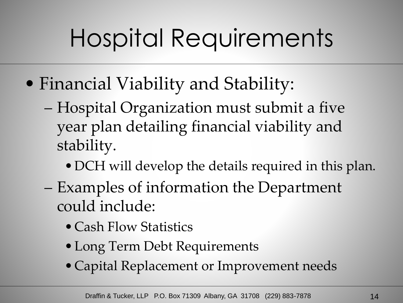- Financial Viability and Stability:
	- Hospital Organization must submit a five year plan detailing financial viability and stability.
		- •DCH will develop the details required in this plan.
	- Examples of information the Department could include:
		- Cash Flow Statistics
		- •Long Term Debt Requirements
		- Capital Replacement or Improvement needs